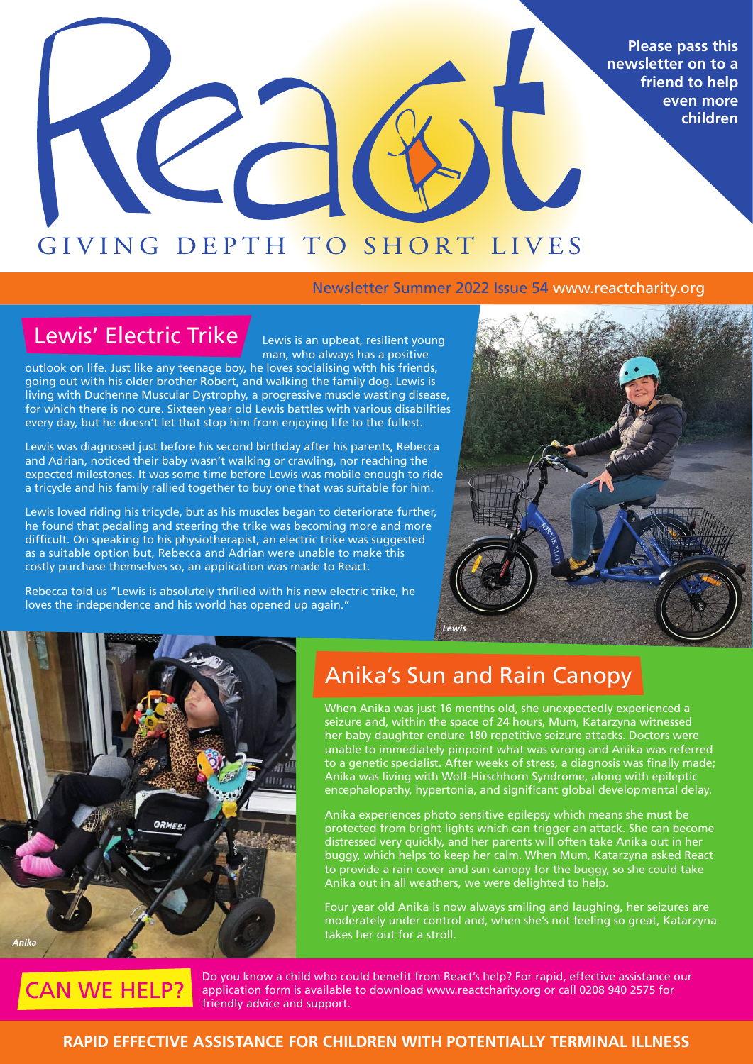**Please pass this newsletter on to a friend to help even more children**

# GIVING DEPTH TO SHORT LIVES

### Newsletter Summer 2022 Issue 54 www.reactcharity.org

# Lewis' Electric Trike

Lewis is an upbeat, resilient young man, who always has a positive

outlook on life. Just like any teenage boy, he loves socialising with his friends, going out with his older brother Robert, and walking the family dog. Lewis is living with Duchenne Muscular Dystrophy, a progressive muscle wasting disease, for which there is no cure. Sixteen year old Lewis battles with various disabilities every day, but he doesn't let that stop him from enjoying life to the fullest.

Lewis was diagnosed just before his second birthday after his parents, Rebecca and Adrian, noticed their baby wasn't walking or crawling, nor reaching the expected milestones. It was some time before Lewis was mobile enough to ride a tricycle and his family rallied together to buy one that was suitable for him.

Lewis loved riding his tricycle, but as his muscles began to deteriorate further, he found that pedaling and steering the trike was becoming more and more difficult. On speaking to his physiotherapist, an electric trike was suggested as a suitable option but, Rebecca and Adrian were unable to make this costly purchase themselves so, an application was made to React.

Rebecca told us "Lewis is absolutely thrilled with his new electric trike, he loves the independence and his world has opened up again."





## Anika's Sun and Rain Canopy

When Anika was just 16 months old, she unexpectedly experienced a seizure and, within the space of 24 hours, Mum, Katarzyna witnessed her baby daughter endure 180 repetitive seizure attacks. Doctors were unable to immediately pinpoint what was wrong and Anika was referred to a genetic specialist. After weeks of stress, a diagnosis was finally made; Anika was living with Wolf-Hirschhorn Syndrome, along with epileptic encephalopathy, hypertonia, and significant global developmental delay.

Anika experiences photo sensitive epilepsy which means she must be protected from bright lights which can trigger an attack. She can become distressed very quickly, and her parents will often take Anika out in her buggy, which helps to keep her calm. When Mum, Katarzyna asked React to provide a rain cover and sun canopy for the buggy, so she could take Anika out in all weathers, we were delighted to help.

Four year old Anika is now always smiling and laughing, her seizures are moderately under control and, when she's not feeling so great, Katarzyna takes her out for a stroll.



Do you know a child who could benefit from React's help? For rapid, effective assistance our application form is available to download www.reactcharity.org or call 0208 940 2575 for friendly advice and support.

### **RAPID EFFECTIVE ASSISTANCE FOR CHILDREN WITH POTENTIALLY TERMINAL ILLNESS**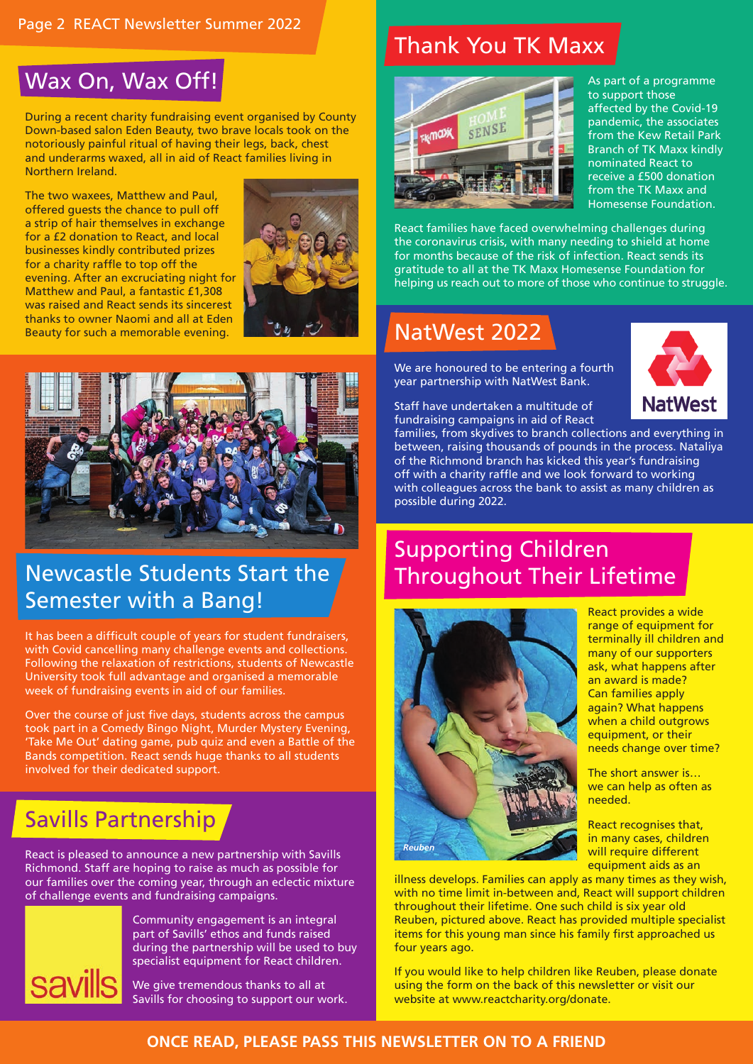# Wax On, Wax Off!

During a recent charity fundraising event organised by County Down-based salon Eden Beauty, two brave locals took on the notoriously painful ritual of having their legs, back, chest and underarms waxed, all in aid of React families living in Northern Ireland.

The two waxees, Matthew and Paul, offered guests the chance to pull off a strip of hair themselves in exchange for a £2 donation to React, and local businesses kindly contributed prizes for a charity raffle to top off the evening. After an excruciating night for Matthew and Paul, a fantastic £1,308 was raised and React sends its sincerest thanks to owner Naomi and all at Eden Beauty for such a memorable evening.





# Newcastle Students Start the Semester with a Bang!

It has been a difficult couple of years for student fundraisers, with Covid cancelling many challenge events and collections. Following the relaxation of restrictions, students of Newcastle University took full advantage and organised a memorable week of fundraising events in aid of our families.

Over the course of just five days, students across the campus took part in a Comedy Bingo Night, Murder Mystery Evening, 'Take Me Out' dating game, pub quiz and even a Battle of the Bands competition. React sends huge thanks to all students involved for their dedicated support.

# Savills Partnership

React is pleased to announce a new partnership with Savills Richmond. Staff are hoping to raise as much as possible for our families over the coming year, through an eclectic mixture of challenge events and fundraising campaigns.



Community engagement is an integral part of Savills' ethos and funds raised during the partnership will be used to buy specialist equipment for React children.

We give tremendous thanks to all at Savills for choosing to support our work.

# Thank You TK Maxx



As part of a programme to support those affected by the Covid-19 pandemic, the associates from the Kew Retail Park Branch of TK Maxx kindly nominated React to receive a £500 donation from the TK Maxx and Homesense Foundation.

React families have faced overwhelming challenges during the coronavirus crisis, with many needing to shield at home for months because of the risk of infection. React sends its gratitude to all at the TK Maxx Homesense Foundation for helping us reach out to more of those who continue to struggle.

# NatWest 2022

We are honoured to be entering a fourth year partnership with NatWest Bank.

Staff have undertaken a multitude of fundraising campaigns in aid of React



families, from skydives to branch collections and everything in between, raising thousands of pounds in the process. Nataliya of the Richmond branch has kicked this year's fundraising off with a charity raffle and we look forward to working with colleagues across the bank to assist as many children as possible during 2022.

# Supporting Children Throughout Their Lifetime



illness develops. Families can apply as many times as they wish, with no time limit in-between and, React will support children throughout their lifetime. One such child is six year old Reuben, pictured above. React has provided multiple specialist items for this young man since his family first approached us four years ago.

If you would like to help children like Reuben, please donate using the form on the back of this newsletter or visit our website at www.reactcharity.org/donate.

React provides a wide range of equipment for terminally ill children and many of our supporters ask, what happens after an award is made? Can families apply again? What happens when a child outgrows equipment, or their needs change over time?

The short answer is… we can help as often as needed.

React recognises that, in many cases, children will require different equipment aids as an

### **ONCE READ, PLEASE PASS THIS NEWSLETTER ON TO A FRIEND**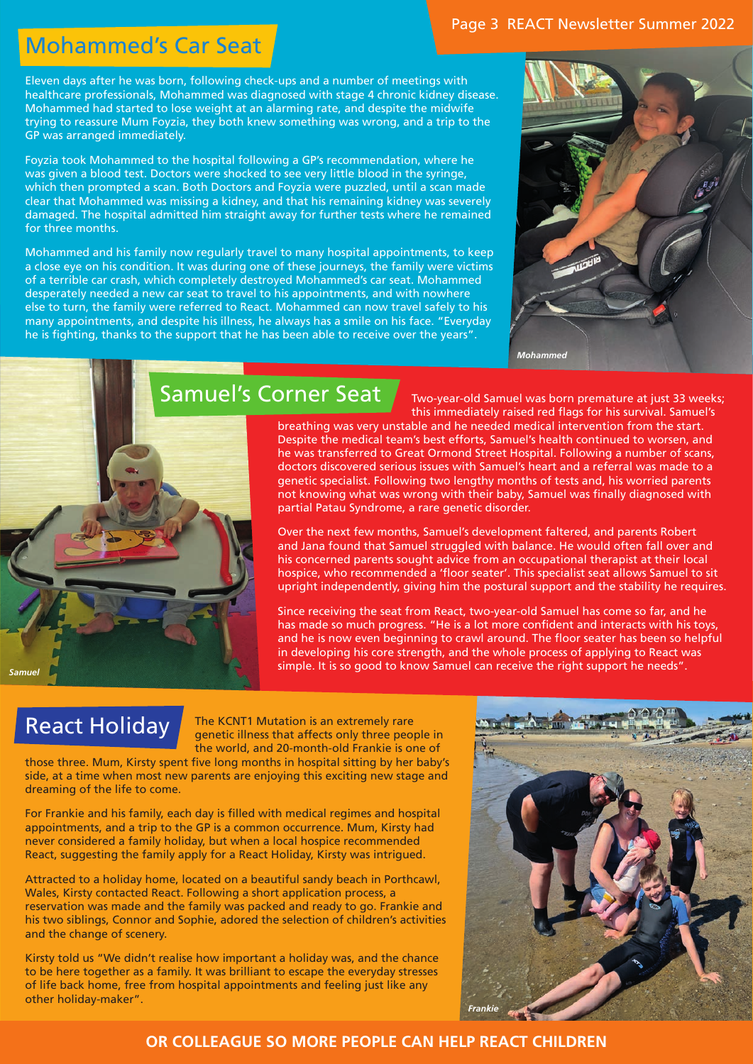# Mohammed's Car Seat

Eleven days after he was born, following check-ups and a number of meetings with healthcare professionals, Mohammed was diagnosed with stage 4 chronic kidney disease. Mohammed had started to lose weight at an alarming rate, and despite the midwife trying to reassure Mum Foyzia, they both knew something was wrong, and a trip to the GP was arranged immediately.

Foyzia took Mohammed to the hospital following a GP's recommendation, where he was given a blood test. Doctors were shocked to see very little blood in the syringe, which then prompted a scan. Both Doctors and Foyzia were puzzled, until a scan made clear that Mohammed was missing a kidney, and that his remaining kidney was severely damaged. The hospital admitted him straight away for further tests where he remained for three months.

Mohammed and his family now regularly travel to many hospital appointments, to keep a close eye on his condition. It was during one of these journeys, the family were victims of a terrible car crash, which completely destroyed Mohammed's car seat. Mohammed desperately needed a new car seat to travel to his appointments, and with nowhere else to turn, the family were referred to React. Mohammed can now travel safely to his many appointments, and despite his illness, he always has a smile on his face. "Everyday he is fighting, thanks to the support that he has been able to receive over the years".



# Samuel's Corner Seat

Two-year-old Samuel was born premature at just 33 weeks; this immediately raised red flags for his survival. Samuel's

breathing was very unstable and he needed medical intervention from the start. Despite the medical team's best efforts, Samuel's health continued to worsen, and he was transferred to Great Ormond Street Hospital. Following a number of scans, doctors discovered serious issues with Samuel's heart and a referral was made to a genetic specialist. Following two lengthy months of tests and, his worried parents not knowing what was wrong with their baby, Samuel was finally diagnosed with partial Patau Syndrome, a rare genetic disorder.

Over the next few months, Samuel's development faltered, and parents Robert and Jana found that Samuel struggled with balance. He would often fall over and his concerned parents sought advice from an occupational therapist at their local hospice, who recommended a 'floor seater'. This specialist seat allows Samuel to sit upright independently, giving him the postural support and the stability he requires.

Since receiving the seat from React, two-year-old Samuel has come so far, and he has made so much progress. "He is a lot more confident and interacts with his toys, and he is now even beginning to crawl around. The floor seater has been so helpful in developing his core strength, and the whole process of applying to React was simple. It is so good to know Samuel can receive the right support he needs"

# React Holiday

*Samuel*

The KCNT1 Mutation is an extremely rare genetic illness that affects only three people in the world, and 20-month-old Frankie is one of

those three. Mum, Kirsty spent five long months in hospital sitting by her baby's side, at a time when most new parents are enjoying this exciting new stage and dreaming of the life to come.

For Frankie and his family, each day is filled with medical regimes and hospital appointments, and a trip to the GP is a common occurrence. Mum, Kirsty had never considered a family holiday, but when a local hospice recommended React, suggesting the family apply for a React Holiday, Kirsty was intrigued.

Attracted to a holiday home, located on a beautiful sandy beach in Porthcawl, Wales, Kirsty contacted React. Following a short application process, a reservation was made and the family was packed and ready to go. Frankie and his two siblings, Connor and Sophie, adored the selection of children's activities and the change of scenery.

Kirsty told us "We didn't realise how important a holiday was, and the chance to be here together as a family. It was brilliant to escape the everyday stresses of life back home, free from hospital appointments and feeling just like any other holiday-maker".



### **OR COLLEAGUE SO MORE PEOPLE CAN HELP REACT CHILDREN**